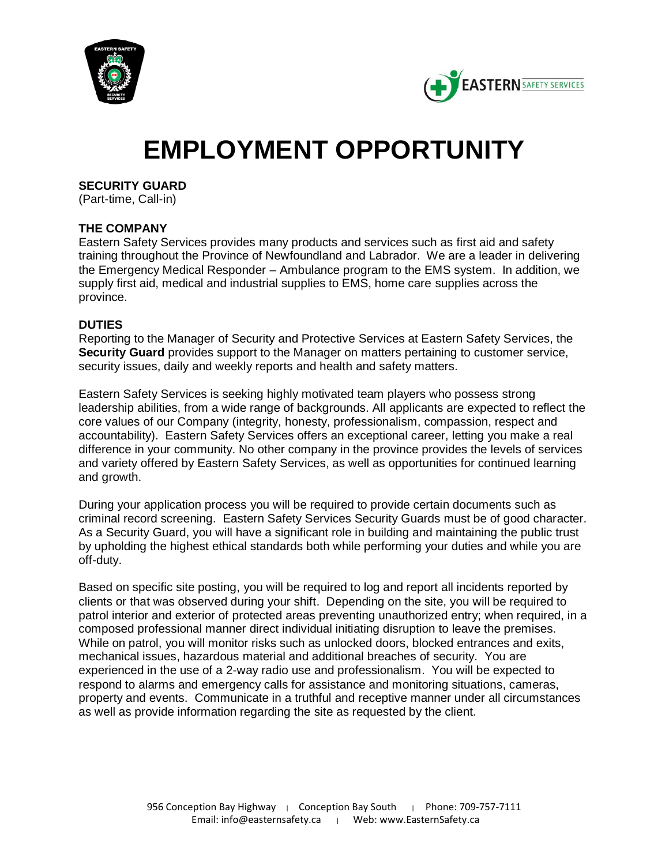



# **EMPLOYMENT OPPORTUNITY**

**SECURITY GUARD**

(Part-time, Call-in)

# **THE COMPANY**

Eastern Safety Services provides many products and services such as first aid and safety training throughout the Province of Newfoundland and Labrador. We are a leader in delivering the Emergency Medical Responder – Ambulance program to the EMS system. In addition, we supply first aid, medical and industrial supplies to EMS, home care supplies across the province.

## **DUTIES**

Reporting to the Manager of Security and Protective Services at Eastern Safety Services, the **Security Guard** provides support to the Manager on matters pertaining to customer service, security issues, daily and weekly reports and health and safety matters.

Eastern Safety Services is seeking highly motivated team players who possess strong leadership abilities, from a wide range of backgrounds. All applicants are expected to reflect the core values of our Company (integrity, honesty, professionalism, compassion, respect and accountability). Eastern Safety Services offers an exceptional career, letting you make a real difference in your community. No other company in the province provides the levels of services and variety offered by Eastern Safety Services, as well as opportunities for continued learning and growth.

During your application process you will be required to provide certain documents such as criminal record screening. Eastern Safety Services Security Guards must be of good character. As a Security Guard, you will have a significant role in building and maintaining the public trust by upholding the highest ethical standards both while performing your duties and while you are off-duty.

Based on specific site posting, you will be required to log and report all incidents reported by clients or that was observed during your shift. Depending on the site, you will be required to patrol interior and exterior of protected areas preventing unauthorized entry; when required, in a composed professional manner direct individual initiating disruption to leave the premises. While on patrol, you will monitor risks such as unlocked doors, blocked entrances and exits, mechanical issues, hazardous material and additional breaches of security. You are experienced in the use of a 2-way radio use and professionalism. You will be expected to respond to alarms and emergency calls for assistance and monitoring situations, cameras, property and events. Communicate in a truthful and receptive manner under all circumstances as well as provide information regarding the site as requested by the client.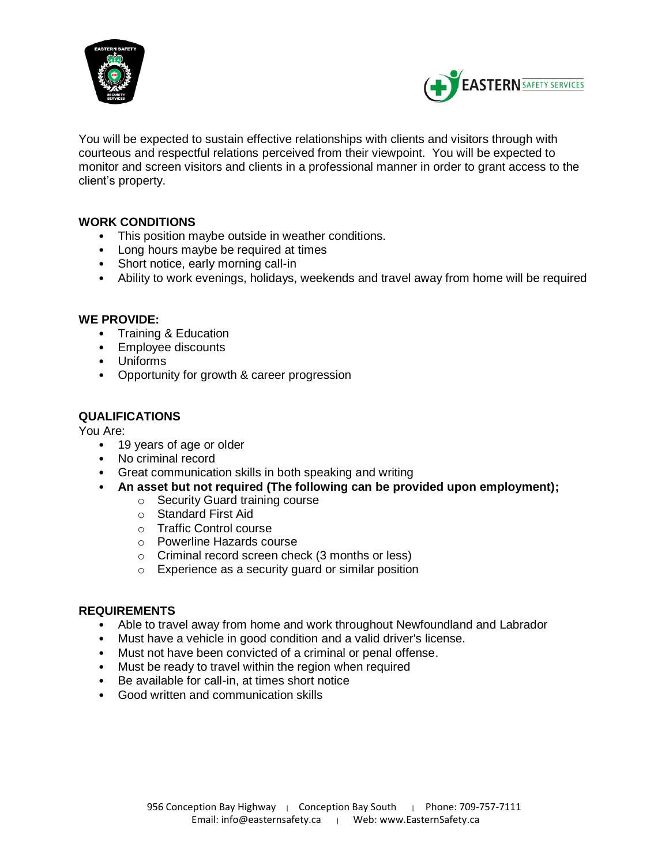



You will be expected to sustain effective relationships with clients and visitors through with courteous and respectful relations perceived from their viewpoint. You will be expected to monitor and screen visitors and clients in a professional manner in order to grant access to the client's property.

## **WORK CONDITIONS**

- This position maybe outside in weather conditions.
- Long hours maybe be required at times
- Short notice, early morning call-in
- Ability to work evenings, holidays, weekends and travel away from home will be required

## **WE PROVIDE:**

- Training & Education
- Employee discounts
- Uniforms
- Opportunity for growth & career progression

## **QUALIFICATIONS**

You Are:

- 19 years of age or older
- No criminal record
- Great communication skills in both speaking and writing
- **An asset but not required (The following can be provided upon employment);**
	- o Security Guard training course
	- o Standard First Aid
	- o Traffic Control course
	- o Powerline Hazards course
	- o Criminal record screen check (3 months or less)
	- o Experience as a security guard or similar position

#### **REQUIREMENTS**

- Able to travel away from home and work throughout Newfoundland and Labrador
- Must have a vehicle in good condition and a valid driver's license.
- Must not have been convicted of a criminal or penal offense.
- Must be ready to travel within the region when required
- Be available for call-in, at times short notice
- Good written and communication skills